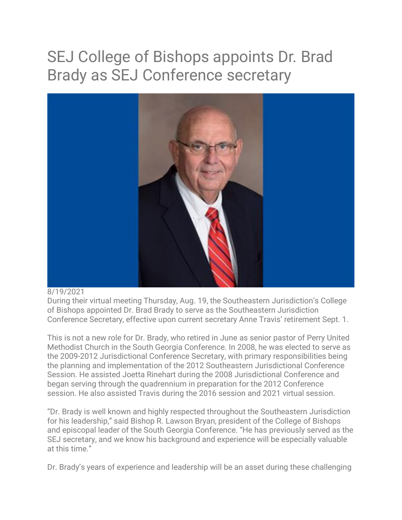## SEJ College of Bishops appoints Dr. Brad Brady as SEJ Conference secretary



## 8/19/2021

During their virtual meeting Thursday, Aug. 19, the Southeastern Jurisdiction's College of Bishops appointed Dr. Brad Brady to serve as the Southeastern Jurisdiction Conference Secretary, effective upon current secretary Anne Travis' retirement Sept. 1.

This is not a new role for Dr. Brady, who retired in June as senior pastor of Perry United Methodist Church in the South Georgia Conference. In 2008, he was elected to serve as the 2009-2012 Jurisdictional Conference Secretary, with primary responsibilities being the planning and implementation of the 2012 Southeastern Jurisdictional Conference Session. He assisted Joetta Rinehart during the 2008 Jurisdictional Conference and began serving through the quadrennium in preparation for the 2012 Conference session. He also assisted Travis during the 2016 session and 2021 virtual session.

"Dr. Brady is well known and highly respected throughout the Southeastern Jurisdiction for his leadership," said Bishop R. Lawson Bryan, president of the College of Bishops and episcopal leader of the South Georgia Conference. "He has previously served as the SEJ secretary, and we know his background and experience will be especially valuable at this time."

Dr. Brady's years of experience and leadership will be an asset during these challenging